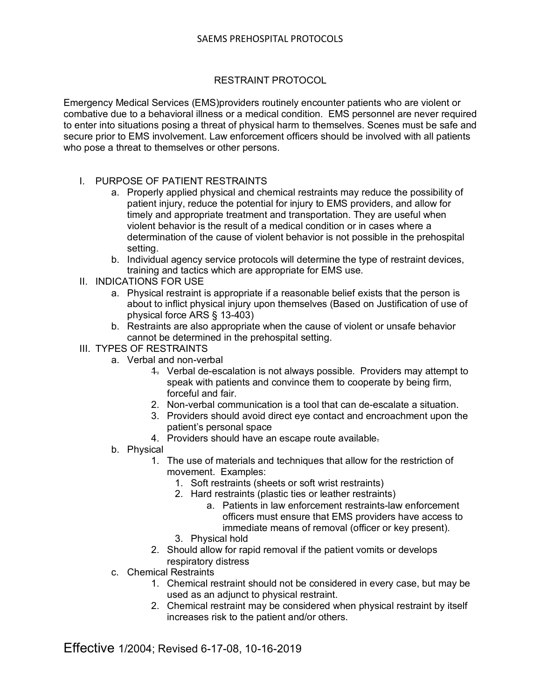## RESTRAINT PROTOCOL

Emergency Medical Services (EMS)providers routinely encounter patients who are violent or combative due to a behavioral illness or a medical condition. EMS personnel are never required to enter into situations posing a threat of physical harm to themselves. Scenes must be safe and secure prior to EMS involvement. Law enforcement officers should be involved with all patients who pose a threat to themselves or other persons.

- I. PURPOSE OF PATIENT RESTRAINTS
	- a. Properly applied physical and chemical restraints may reduce the possibility of patient injury, reduce the potential for injury to EMS providers, and allow for timely and appropriate treatment and transportation. They are useful when violent behavior is the result of a medical condition or in cases where a determination of the cause of violent behavior is not possible in the prehospital setting.
	- b. Individual agency service protocols will determine the type of restraint devices, training and tactics which are appropriate for EMS use.
- II. INDICATIONS FOR USE
	- a. Physical restraint is appropriate if a reasonable belief exists that the person is about to inflict physical injury upon themselves (Based on Justification of use of physical force ARS § 13-403)
	- b. Restraints are also appropriate when the cause of violent or unsafe behavior cannot be determined in the prehospital setting.
- III. TYPES OF RESTRAINTS
	- a. Verbal and non-verbal
		- 1. Verbal de-escalation is not always possible. Providers may attempt to speak with patients and convince them to cooperate by being firm, forceful and fair.
		- 2. Non-verbal communication is a tool that can de-escalate a situation.
		- 3. Providers should avoid direct eye contact and encroachment upon the patient's personal space
		- 4. Providers should have an escape route available.
	- b. Physical
		- 1. The use of materials and techniques that allow for the restriction of movement. Examples:
			- 1. Soft restraints (sheets or soft wrist restraints)
			- 2. Hard restraints (plastic ties or leather restraints)
				- a. Patients in law enforcement restraints-law enforcement officers must ensure that EMS providers have access to immediate means of removal (officer or key present).
			- 3. Physical hold
		- 2. Should allow for rapid removal if the patient vomits or develops respiratory distress
	- c. Chemical Restraints
		- 1. Chemical restraint should not be considered in every case, but may be used as an adjunct to physical restraint.
		- 2. Chemical restraint may be considered when physical restraint by itself increases risk to the patient and/or others.